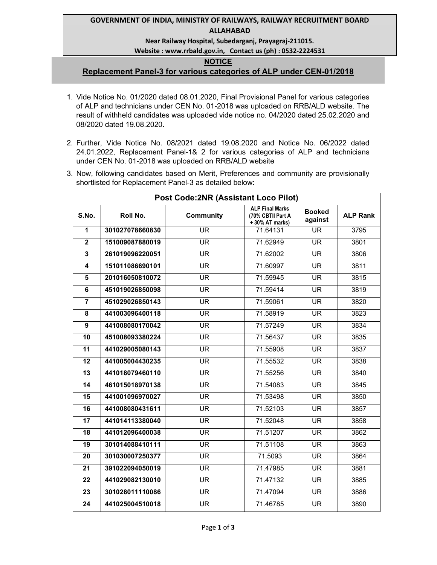### **GOVERNMENT OF INDIA, MINISTRY OF RAILWAYS, RAILWAY RECRUITMENT BOARD ALLAHABAD**

### **Near Railway Hospital, Subedarganj, Prayagraj-211015.**

### **Website : www.rrbald.gov.in, Contact us (ph) : 0532-2224531**

#### **NOTICE**

# **Replacement Panel-3 for various categories of ALP under CEN-01/2018**

- 1. Vide Notice No. 01/2020 dated 08.01.2020, Final Provisional Panel for various categories of ALP and technicians under CEN No. 01-2018 was uploaded on RRB/ALD website. The result of withheld candidates was uploaded vide notice no. 04/2020 dated 25.02.2020 and 08/2020 dated 19.08.2020.
- 2. Further, Vide Notice No. 08/2021 dated 19.08.2020 and Notice No. 06/2022 dated 24.01.2022, Replacement Panel-1& 2 for various categories of ALP and technicians under CEN No. 01-2018 was uploaded on RRB/ALD website
- 3. Now, following candidates based on Merit, Preferences and community are provisionally shortlisted for Replacement Panel-3 as detailed below:

| <b>Post Code:2NR (Assistant Loco Pilot)</b> |                 |                  |                                                                |                          |                 |
|---------------------------------------------|-----------------|------------------|----------------------------------------------------------------|--------------------------|-----------------|
| S.No.                                       | Roll No.        | <b>Community</b> | <b>ALP Final Marks</b><br>(70% CBTII Part A<br>+ 30% AT marks) | <b>Booked</b><br>against | <b>ALP Rank</b> |
| 1                                           | 301027078660830 | <b>UR</b>        | 71.64131                                                       | <b>UR</b>                | 3795            |
| $\mathbf 2$                                 | 151009087880019 | <b>UR</b>        | 71.62949                                                       | <b>UR</b>                | 3801            |
| 3                                           | 261019096220051 | UR.              | 71.62002                                                       | <b>UR</b>                | 3806            |
| 4                                           | 151011086690101 | UR               | 71.60997                                                       | <b>UR</b>                | 3811            |
| $\overline{\mathbf{5}}$                     | 201016050810072 | <b>UR</b>        | 71.59945                                                       | $\overline{\mathsf{UR}}$ | 3815            |
| 6                                           | 451019026850098 | UR.              | 71.59414                                                       | <b>UR</b>                | 3819            |
| $\overline{7}$                              | 451029026850143 | <b>UR</b>        | 71.59061                                                       | $\overline{\mathsf{UR}}$ | 3820            |
| 8                                           | 441003096400118 | UR.              | 71.58919                                                       | <b>UR</b>                | 3823            |
| 9                                           | 441008080170042 | UR               | 71.57249                                                       | <b>UR</b>                | 3834            |
| 10                                          | 451008093380224 | UR               | 71.56437                                                       | <b>UR</b>                | 3835            |
| 11                                          | 441029005080143 | UR.              | 71.55908                                                       | <b>UR</b>                | 3837            |
| 12                                          | 441005004430235 | <b>UR</b>        | 71.55532                                                       | <b>UR</b>                | 3838            |
| 13                                          | 441018079460110 | UR.              | 71.55256                                                       | <b>UR</b>                | 3840            |
| 14                                          | 461015018970138 | <b>UR</b>        | 71.54083                                                       | <b>UR</b>                | 3845            |
| 15                                          | 441001096970027 | <b>UR</b>        | 71.53498                                                       | <b>UR</b>                | 3850            |
| 16                                          | 441008080431611 | <b>UR</b>        | 71.52103                                                       | <b>UR</b>                | 3857            |
| 17                                          | 441014113380040 | UR               | 71.52048                                                       | <b>UR</b>                | 3858            |
| 18                                          | 441012096400038 | UR               | 71.51207                                                       | <b>UR</b>                | 3862            |
| 19                                          | 301014088410111 | UR               | 71.51108                                                       | <b>UR</b>                | 3863            |
| 20                                          | 301030007250377 | <b>UR</b>        | 71.5093                                                        | <b>UR</b>                | 3864            |
| 21                                          | 391022094050019 | <b>UR</b>        | 71.47985                                                       | <b>UR</b>                | 3881            |
| 22                                          | 441029082130010 | <b>UR</b>        | 71.47132                                                       | <b>UR</b>                | 3885            |
| 23                                          | 301028011110086 | UR               | 71.47094                                                       | <b>UR</b>                | 3886            |
| 24                                          | 441025004510018 | UR               | 71.46785                                                       | <b>UR</b>                | 3890            |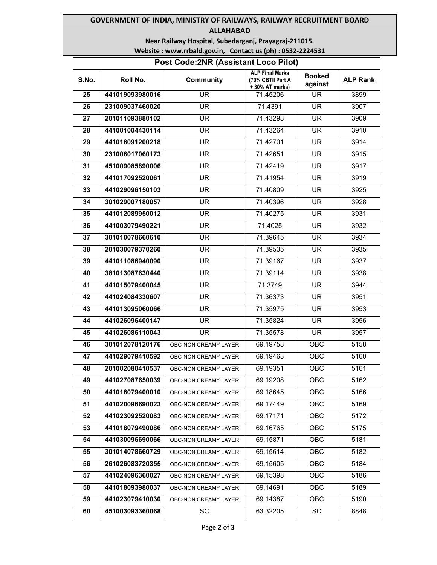# **GOVERNMENT OF INDIA, MINISTRY OF RAILWAYS, RAILWAY RECRUITMENT BOARD ALLAHABAD**

**Near Railway Hospital, Subedarganj, Prayagraj-211015.** 

| Website: www.rrbald.gov.in, Contact us (ph): 0532-2224531 |  |  |
|-----------------------------------------------------------|--|--|
|-----------------------------------------------------------|--|--|

| Post Code: 2NR (Assistant Loco Pilot) |                 |                      |                                                               |                          |                 |
|---------------------------------------|-----------------|----------------------|---------------------------------------------------------------|--------------------------|-----------------|
| S.No.                                 | Roll No.        | <b>Community</b>     | <b>ALP Final Marks</b><br>(70% CBTII Part A<br>+30% AT marks) | <b>Booked</b><br>against | <b>ALP Rank</b> |
| 25                                    | 441019093980016 | UR.                  | 71.45206                                                      | UR.                      | 3899            |
| 26                                    | 231009037460020 | UR                   | 71.4391                                                       | <b>UR</b>                | 3907            |
| 27                                    | 201011093880102 | <b>UR</b>            | 71.43298                                                      | <b>UR</b>                | 3909            |
| 28                                    | 441001004430114 | <b>UR</b>            | 71.43264                                                      | <b>UR</b>                | 3910            |
| 29                                    | 441018091200218 | UR.                  | 71.42701                                                      | <b>UR</b>                | 3914            |
| 30                                    | 231006017060173 | UR                   | 71.42651                                                      | <b>UR</b>                | 3915            |
| 31                                    | 451009085890006 | <b>UR</b>            | 71.42419                                                      | <b>UR</b>                | 3917            |
| 32                                    | 441017092520061 | UR.                  | 71.41954                                                      | <b>UR</b>                | 3919            |
| 33                                    | 441029096150103 | UR.                  | 71.40809                                                      | <b>UR</b>                | 3925            |
| 34                                    | 301029007180057 | UR.                  | 71.40396                                                      | <b>UR</b>                | 3928            |
| 35                                    | 441012089950012 | <b>UR</b>            | 71.40275                                                      | <b>UR</b>                | 3931            |
| 36                                    | 441003079490221 | <b>UR</b>            | 71.4025                                                       | <b>UR</b>                | 3932            |
| 37                                    | 301010078660610 | UR.                  | 71.39645                                                      | <b>UR</b>                | 3934            |
| 38                                    | 201030079370260 | <b>UR</b>            | 71.39535                                                      | <b>UR</b>                | 3935            |
| 39                                    | 441011086940090 | UR                   | 71.39167                                                      | UR                       | 3937            |
| 40                                    | 381013087630440 | UR.                  | 71.39114                                                      | UR.                      | 3938            |
| 41                                    | 441015079400045 | UR.                  | 71.3749                                                       | UR.                      | 3944            |
| 42                                    | 441024084330607 | UR                   | 71.36373                                                      | UR                       | 3951            |
| 43                                    | 441013095060066 | <b>UR</b>            | 71.35975                                                      | <b>UR</b>                | 3953            |
| 44                                    | 441026096400147 | UR.                  | 71.35824                                                      | UR.                      | 3956            |
| 45                                    | 441026086110043 | <b>UR</b>            | 71.35578                                                      | UR.                      | 3957            |
| 46                                    | 301012078120176 | OBC-NON CREAMY LAYER | 69.19758                                                      | <b>OBC</b>               | 5158            |
| 47                                    | 441029079410592 | OBC-NON CREAMY LAYER | 69.19463                                                      | OBC                      | 5160            |
| 48                                    | 201002080410537 | OBC-NON CREAMY LAYER | 69.19351                                                      | <b>OBC</b>               | 5161            |
| 49                                    | 441027087650039 | OBC-NON CREAMY LAYER | 69.19208                                                      | OBC                      | 5162            |
| 50                                    | 441018079400010 | OBC-NON CREAMY LAYER | 69.18645                                                      | <b>OBC</b>               | 5166            |
| 51                                    | 441020096690023 | OBC-NON CREAMY LAYER | 69.17449                                                      | OBC                      | 5169            |
| 52                                    | 441023092520083 | OBC-NON CREAMY LAYER | 69.17171                                                      | <b>OBC</b>               | 5172            |
| 53                                    | 441018079490086 | OBC-NON CREAMY LAYER | 69.16765                                                      | OBC                      | 5175            |
| 54                                    | 441030096690066 | OBC-NON CREAMY LAYER | 69.15871                                                      | OBC                      | 5181            |
| 55                                    | 301014078660729 | OBC-NON CREAMY LAYER | 69.15614                                                      | <b>OBC</b>               | 5182            |
| 56                                    | 261026083720355 | OBC-NON CREAMY LAYER | 69.15605                                                      | OBC                      | 5184            |
| 57                                    | 441024096360027 | OBC-NON CREAMY LAYER | 69.15398                                                      | <b>OBC</b>               | 5186            |
| 58                                    | 441018093980037 | OBC-NON CREAMY LAYER | 69.14691                                                      | OBC                      | 5189            |
| 59                                    | 441023079410030 | OBC-NON CREAMY LAYER | 69.14387                                                      | <b>OBC</b>               | 5190            |
| 60                                    | 451003093360068 | SC                   | 63.32205                                                      | SC                       | 8848            |